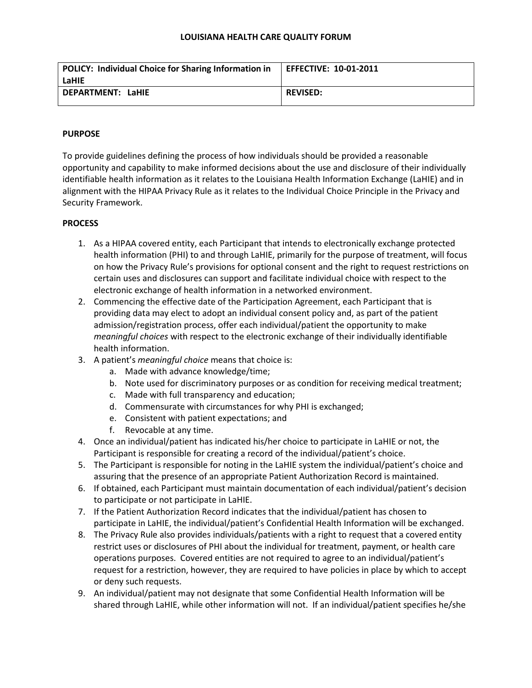### **LOUISIANA HEALTH CARE QUALITY FORUM**

| POLICY: Individual Choice for Sharing Information in | <b>EFFECTIVE: 10-01-2011</b> |
|------------------------------------------------------|------------------------------|
| LaHIE                                                |                              |
| DEPARTMENT: LaHIE                                    | <b>REVISED:</b>              |
|                                                      |                              |

## **PURPOSE**

To provide guidelines defining the process of how individuals should be provided a reasonable opportunity and capability to make informed decisions about the use and disclosure of their individually identifiable health information as it relates to the Louisiana Health Information Exchange (LaHIE) and in alignment with the HIPAA Privacy Rule as it relates to the Individual Choice Principle in the Privacy and Security Framework.

# **PROCESS**

- 1. As a HIPAA covered entity, each Participant that intends to electronically exchange protected health information (PHI) to and through LaHIE, primarily for the purpose of treatment, will focus on how the Privacy Rule's provisions for optional consent and the right to request restrictions on certain uses and disclosures can support and facilitate individual choice with respect to the electronic exchange of health information in a networked environment.
- 2. Commencing the effective date of the Participation Agreement, each Participant that is providing data may elect to adopt an individual consent policy and, as part of the patient admission/registration process, offer each individual/patient the opportunity to make *meaningful choices* with respect to the electronic exchange of their individually identifiable health information.
- 3. A patient's *meaningful choice* means that choice is:
	- a. Made with advance knowledge/time;
	- b. Note used for discriminatory purposes or as condition for receiving medical treatment;
	- c. Made with full transparency and education;
	- d. Commensurate with circumstances for why PHI is exchanged;
	- e. Consistent with patient expectations; and
	- f. Revocable at any time.
- 4. Once an individual/patient has indicated his/her choice to participate in LaHIE or not, the Participant is responsible for creating a record of the individual/patient's choice.
- 5. The Participant is responsible for noting in the LaHIE system the individual/patient's choice and assuring that the presence of an appropriate Patient Authorization Record is maintained.
- 6. If obtained, each Participant must maintain documentation of each individual/patient's decision to participate or not participate in LaHIE.
- 7. If the Patient Authorization Record indicates that the individual/patient has chosen to participate in LaHIE, the individual/patient's Confidential Health Information will be exchanged.
- 8. The Privacy Rule also provides individuals/patients with a right to request that a covered entity restrict uses or disclosures of PHI about the individual for treatment, payment, or health care operations purposes. Covered entities are not required to agree to an individual/patient's request for a restriction, however, they are required to have policies in place by which to accept or deny such requests.
- 9. An individual/patient may not designate that some Confidential Health Information will be shared through LaHIE, while other information will not. If an individual/patient specifies he/she